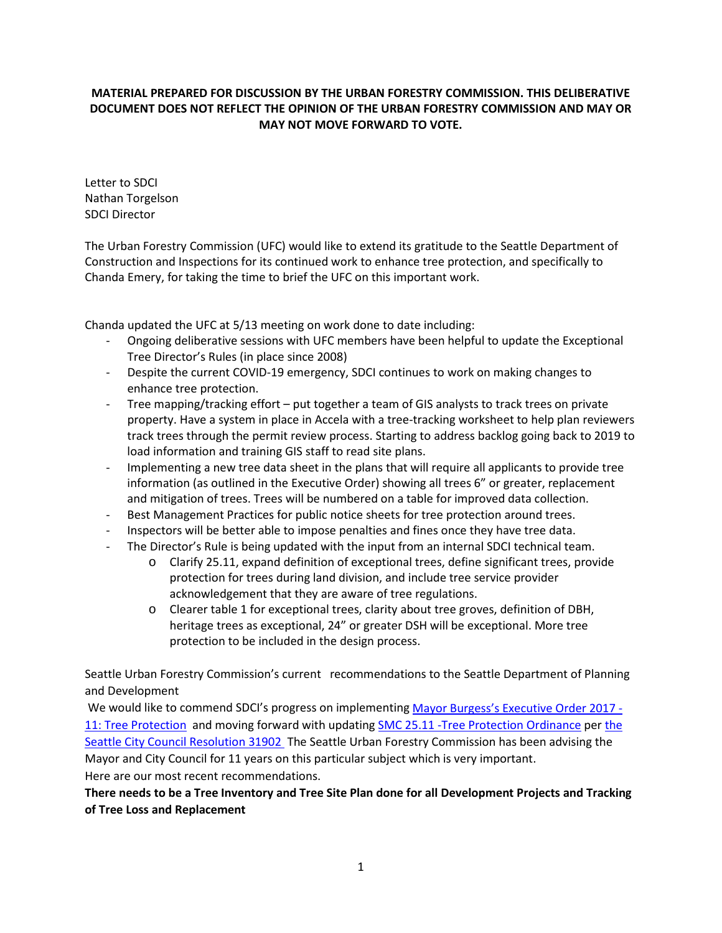## **MATERIAL PREPARED FOR DISCUSSION BY THE URBAN FORESTRY COMMISSION. THIS DELIBERATIVE DOCUMENT DOES NOT REFLECT THE OPINION OF THE URBAN FORESTRY COMMISSION AND MAY OR MAY NOT MOVE FORWARD TO VOTE.**

Letter to SDCI Nathan Torgelson SDCI Director

The Urban Forestry Commission (UFC) would like to extend its gratitude to the Seattle Department of Construction and Inspections for its continued work to enhance tree protection, and specifically to Chanda Emery, for taking the time to brief the UFC on this important work.

Chanda updated the UFC at 5/13 meeting on work done to date including:

- Ongoing deliberative sessions with UFC members have been helpful to update the Exceptional Tree Director's Rules (in place since 2008)
- Despite the current COVID-19 emergency, SDCI continues to work on making changes to enhance tree protection.
- Tree mapping/tracking effort put together a team of GIS analysts to track trees on private property. Have a system in place in Accela with a tree-tracking worksheet to help plan reviewers track trees through the permit review process. Starting to address backlog going back to 2019 to load information and training GIS staff to read site plans.
- Implementing a new tree data sheet in the plans that will require all applicants to provide tree information (as outlined in the Executive Order) showing all trees 6" or greater, replacement and mitigation of trees. Trees will be numbered on a table for improved data collection.
- Best Management Practices for public notice sheets for tree protection around trees.
- Inspectors will be better able to impose penalties and fines once they have tree data.
- The Director's Rule is being updated with the input from an internal SDCI technical team.
	- o Clarify 25.11, expand definition of exceptional trees, define significant trees, provide protection for trees during land division, and include tree service provider acknowledgement that they are aware of tree regulations.
	- o Clearer table 1 for exceptional trees, clarity about tree groves, definition of DBH, heritage trees as exceptional, 24" or greater DSH will be exceptional. More tree protection to be included in the design process.

Seattle Urban Forestry Commission's current recommendations to the Seattle Department of Planning and Development

We would like to commend SDCI's progress on implementing [Mayor Burgess's Executive Order 2017 -](https://www.seattle.gov/Documents/Departments/UrbanForestryCommission/2018/2018docs/TreeExecOrder2017-11FINAL.pdf) [11: Tree Protection](https://www.seattle.gov/Documents/Departments/UrbanForestryCommission/2018/2018docs/TreeExecOrder2017-11FINAL.pdf) and moving forward with updating [SMC 25.11 -Tree Protection Ordinance](https://library.municode.com/wa/seattle/codes/municipal_code?nodeId=TIT25ENPRHIPR_CH25.11TRPR_25.11.100ENPE) per [the](https://seattle.legistar.com/LegislationDetail.aspx?ID=4129523&GUID=6AC9ED61-D479-4DC9-9EAF-3C765F83E0C6&Options=ID%7CText%7C&Search=31902&FullText=1)  [Seattle City Council Resolution 31902](https://seattle.legistar.com/LegislationDetail.aspx?ID=4129523&GUID=6AC9ED61-D479-4DC9-9EAF-3C765F83E0C6&Options=ID%7CText%7C&Search=31902&FullText=1) The Seattle Urban Forestry Commission has been advising the Mayor and City Council for 11 years on this particular subject which is very important. Here are our most recent recommendations.

# **There needs to be a Tree Inventory and Tree Site Plan done for all Development Projects and Tracking of Tree Loss and Replacement**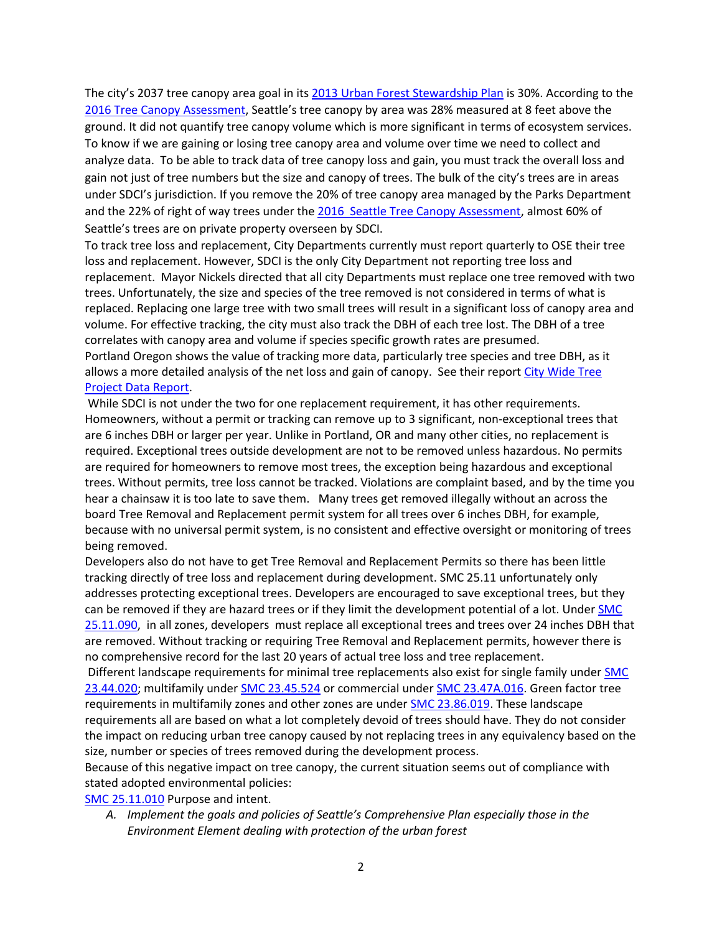The city's 2037 tree canopy area goal in it[s 2013 Urban Forest Stewardship Plan](https://www.seattle.gov/Documents/Departments/Trees/Mangement/2013_Urban_Forest_Stewardship_Plan.pdf) is 30%. According to the [2016 Tree Canopy Assessment,](http://www.seattle.gov/Documents/Departments/Trees/Mangement/Canopy/Seattle2016CCAFinalReportFINAL.pdf) Seattle's tree canopy by area was 28% measured at 8 feet above the ground. It did not quantify tree canopy volume which is more significant in terms of ecosystem services. To know if we are gaining or losing tree canopy area and volume over time we need to collect and analyze data. To be able to track data of tree canopy loss and gain, you must track the overall loss and gain not just of tree numbers but the size and canopy of trees. The bulk of the city's trees are in areas under SDCI's jurisdiction. If you remove the 20% of tree canopy area managed by the Parks Department and the 22% of right of way trees under th[e 2016 Seattle Tree Canopy Assessment,](http://www.seattle.gov/Documents/Departments/Trees/Mangement/Canopy/Seattle2016CCAFinalReportFINAL.pdf) almost 60% of Seattle's trees are on private property overseen by SDCI.

To track tree loss and replacement, City Departments currently must report quarterly to OSE their tree loss and replacement. However, SDCI is the only City Department not reporting tree loss and replacement. Mayor Nickels directed that all city Departments must replace one tree removed with two trees. Unfortunately, the size and species of the tree removed is not considered in terms of what is replaced. Replacing one large tree with two small trees will result in a significant loss of canopy area and volume. For effective tracking, the city must also track the DBH of each tree lost. The DBH of a tree correlates with canopy area and volume if species specific growth rates are presumed. Portland Oregon shows the value of tracking more data, particularly tree species and tree DBH, as it allows a more detailed analysis of the net loss and gain of canopy. See their repor[t City Wide Tree](https://www.portlandoregon.gov/parks/article/571564f)  [Project Data Report.](https://www.portlandoregon.gov/parks/article/571564f)

While SDCI is not under the two for one replacement requirement, it has other requirements. Homeowners, without a permit or tracking can remove up to 3 significant, non-exceptional trees that are 6 inches DBH or larger per year. Unlike in Portland, OR and many other cities, no replacement is required. Exceptional trees outside development are not to be removed unless hazardous. No permits are required for homeowners to remove most trees, the exception being hazardous and exceptional trees. Without permits, tree loss cannot be tracked. Violations are complaint based, and by the time you hear a chainsaw it is too late to save them. Many trees get removed illegally without an across the board Tree Removal and Replacement permit system for all trees over 6 inches DBH, for example, because with no universal permit system, is no consistent and effective oversight or monitoring of trees being removed.

Developers also do not have to get Tree Removal and Replacement Permits so there has been little tracking directly of tree loss and replacement during development. SMC 25.11 unfortunately only addresses protecting exceptional trees. Developers are encouraged to save exceptional trees, but they can be removed if they are hazard trees or if they limit the development potential of a lot. Under [SMC](https://library.municode.com/wa/seattle/codes/municipal_code?nodeId=TIT25ENPRHIPR_CH25.11TRPR_25.11.090TRRESIRE)  [25.11.090,](https://library.municode.com/wa/seattle/codes/municipal_code?nodeId=TIT25ENPRHIPR_CH25.11TRPR_25.11.090TRRESIRE) in all zones, developers must replace all exceptional trees and trees over 24 inches DBH that are removed. Without tracking or requiring Tree Removal and Replacement permits, however there is no comprehensive record for the last 20 years of actual tree loss and tree replacement.

Different landscape requirements for minimal tree replacements also exist for single family under **SMC** [23.44.020;](https://library.municode.com/wa/seattle/codes/municipal_code?nodeId=TIT23LAUSCO_SUBTITLE_IIILAUSRE_CH23.44RESIMI_SUBCHAPTER_IPRUSPEOU_23.44.020TRRE) multifamily under [SMC 23.45.524](https://library.municode.com/wa/seattle/codes/municipal_code?nodeId=TIT23LAUSCO_SUBTITLE_IIILAUSRE_CH23.45MU_23.45.524LAST) or commercial under [SMC 23.47A.016.](https://library.municode.com/wa/seattle/codes/municipal_code?nodeId=TIT23LAUSCO_SUBTITLE_IIILAUSRE_CH23.47ACO_23.47A.016LASCST) Green factor tree requirements in multifamily zones and other zones are under [SMC 23.86.019.](https://library.municode.com/wa/seattle/codes/municipal_code?nodeId=TIT23LAUSCO_SUBTITLE_IVAD_CH23.86ME_23.86.019GRFAME) These landscape requirements all are based on what a lot completely devoid of trees should have. They do not consider the impact on reducing urban tree canopy caused by not replacing trees in any equivalency based on the size, number or species of trees removed during the development process.

Because of this negative impact on tree canopy, the current situation seems out of compliance with stated adopted environmental policies:

[SMC 25.11.010](https://library.municode.com/wa/seattle/codes/municipal_code?nodeId=TIT25ENPRHIPR_CH25.11TRPR_25.11.010PUIN) Purpose and intent.

*A. Implement the goals and policies of Seattle's Comprehensive Plan especially those in the Environment Element dealing with protection of the urban forest*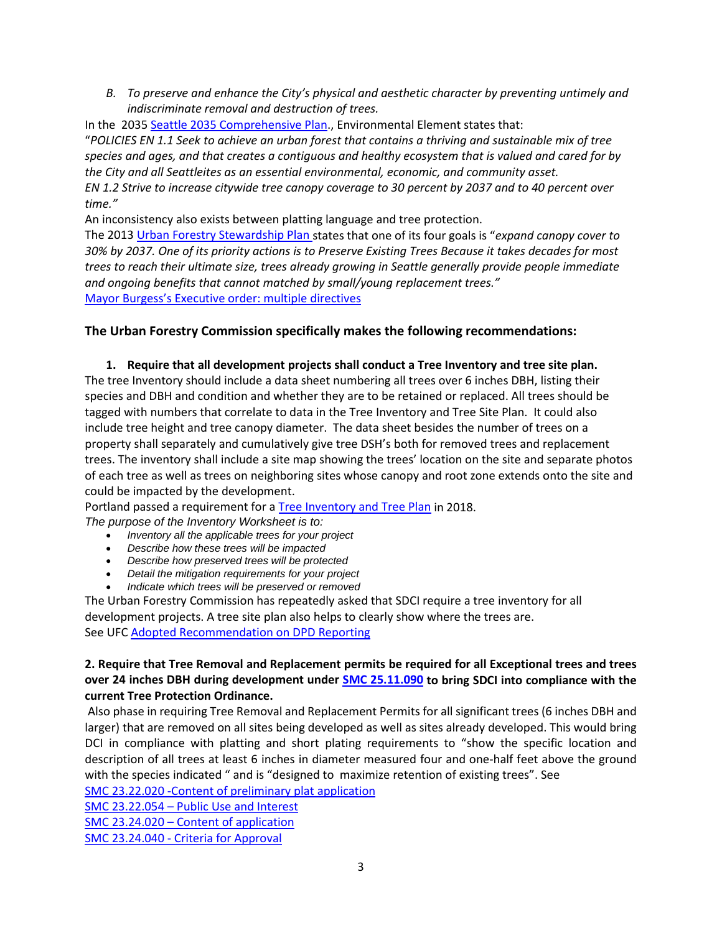*B. To preserve and enhance the City's physical and aesthetic character by preventing untimely and indiscriminate removal and destruction of trees.*

In the 203[5 Seattle 2035 Comprehensive Plan.](http://www.seattle.gov/opcd/ongoing-initiatives/comprehensive-plan), Environmental Element states that: "*POLICIES EN 1.1 Seek to achieve an urban forest that contains a thriving and sustainable mix of tree species and ages, and that creates a contiguous and healthy ecosystem that is valued and cared for by the City and all Seattleites as an essential environmental, economic, and community asset. EN 1.2 Strive to increase citywide tree canopy coverage to 30 percent by 2037 and to 40 percent over time."*

An inconsistency also exists between platting language and tree protection.

The 2013 [Urban Forestry Stewardship Plan](https://www.seattle.gov/Documents/Departments/Trees/Mangement/2013_Urban_Forest_Stewardship_Plan.pdf) states that one of its four goals is "*expand canopy cover to 30% by 2037. One of its priority actions is to Preserve Existing Trees Because it takes decades for most trees to reach their ultimate size, trees already growing in Seattle generally provide people immediate and ongoing benefits that cannot matched by small/young replacement trees."* [Mayor Burgess's Executive order:](https://www.seattle.gov/Documents/Departments/UrbanForestryCommission/2018/2018docs/TreeExecOrder2017-11FINAL.pdf) multiple directives

## **The Urban Forestry Commission specifically makes the following recommendations:**

**1. Require that all development projects shall conduct a Tree Inventory and tree site plan.** The tree Inventory should include a data sheet numbering all trees over 6 inches DBH, listing their species and DBH and condition and whether they are to be retained or replaced. All trees should be tagged with numbers that correlate to data in the Tree Inventory and Tree Site Plan. It could also include tree height and tree canopy diameter. The data sheet besides the number of trees on a property shall separately and cumulatively give tree DSH's both for removed trees and replacement trees. The inventory shall include a site map showing the trees' location on the site and separate photos of each tree as well as trees on neighboring sites whose canopy and root zone extends onto the site and could be impacted by the development.

Portland passed a requirement for a [Tree Inventory and Tree Plan](https://www.portlandoregon.gov/trees/66987) in 2018. *The purpose of the Inventory Worksheet is to:*

- *Inventory all the applicable trees for your project*
- *Describe how these trees will be impacted*
- *Describe how preserved trees will be protected*
- *Detail the mitigation requirements for your project*
- *Indicate which trees will be preserved or removed*

The Urban Forestry Commission has repeatedly asked that SDCI require a tree inventory for all development projects. A tree site plan also helps to clearly show where the trees are. See UFC [Adopted Recommendation on DPD Reporting](https://www.seattle.gov/Documents/Departments/UrbanForestryCommission/FinalIssuedDocuments/Recommendations/ADOPTEDDPDReportingLetter062514.pdf)

#### **2. Require that Tree Removal and Replacement permits be required for all Exceptional trees and trees over 24 inches DBH during development under [SMC 25.11.090](https://library.municode.com/wa/seattle/codes/municipal_code?nodeId=TIT25ENPRHIPR_CH25.11TRPR_25.11.090TRRESIRE) to bring SDCI into compliance with the current Tree Protection Ordinance.**

Also phase in requiring Tree Removal and Replacement Permits for all significant trees (6 inches DBH and larger) that are removed on all sites being developed as well as sites already developed. This would bring DCI in compliance with platting and short plating requirements to "show the specific location and description of all trees at least 6 inches in diameter measured four and one-half feet above the ground with the species indicated " and is "designed to maximize retention of existing trees". See

[SMC 23.22.020 -Content of preliminary plat](https://library.municode.com/wa/seattle/codes/municipal_code?nodeId=TIT23LAUSCO_SUBTITLE_IIPLRE_CH23.22SU_SUBCHAPTER_IPRPLPR_23.22.020COPRPLAP) application

SMC 23.22.054 – [Public Use and Interest](https://library.municode.com/wa/seattle/codes/municipal_code?nodeId=TIT23LAUSCO_SUBTITLE_IIPLRE_CH23.22SU_SUBCHAPTER_IIPRPLCO_23.22.054PUUSIN)

SMC 23.24.020 – [Content of application](https://library.municode.com/wa/seattle/codes/municipal_code?nodeId=TIT23LAUSCO_SUBTITLE_IIPLRE_CH23.24SHPL_23.24.020COAP)

SMC 23.24.040 - [Criteria for Approval](https://library.municode.com/wa/seattle/codes/municipal_code?nodeId=TIT23LAUSCO_SUBTITLE_IIPLRE_CH23.24SHPL_23.24.040CRAP)